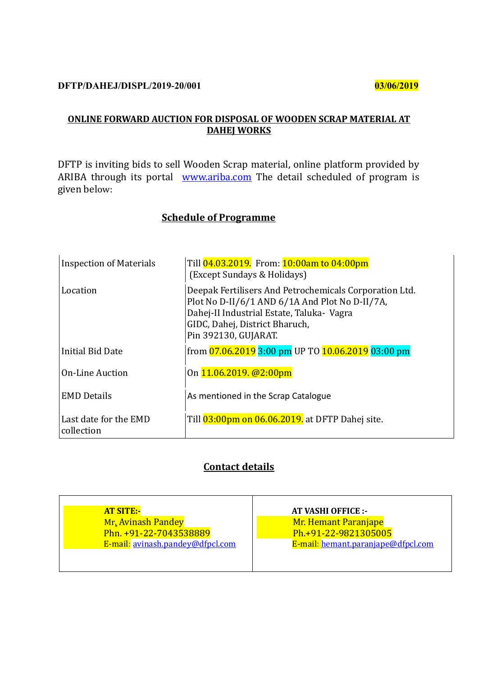# **DFTP/DAHEJ/DISPL/2019-20/001 03/06/2019**

### **ONLINE FORWARD AUCTION FOR DISPOSAL OF WOODEN SCRAP MATERIAL AT DAHEJ WORKS**

DFTP is inviting bids to sell Wooden Scrap material, online platform provided by ARIBA through its portal **[www.ariba.com](http://www.ariba.com/)** The detail scheduled of program is given below:

# **Schedule of Programme**

| <b>Inspection of Materials</b>      | Till 04.03.2019. From: 10:00am to 04:00pm<br>(Except Sundays & Holidays)                                                                                                                                        |
|-------------------------------------|-----------------------------------------------------------------------------------------------------------------------------------------------------------------------------------------------------------------|
| Location                            | Deepak Fertilisers And Petrochemicals Corporation Ltd.<br>Plot No D-II/6/1 AND 6/1A And Plot No D-II/7A,<br>Dahej-II Industrial Estate, Taluka- Vagra<br>GIDC, Dahej, District Bharuch,<br>Pin 392130, GUJARAT. |
| Initial Bid Date                    | from 07.06.2019 3:00 pm UP TO 10.06.2019 03:00 pm                                                                                                                                                               |
| <b>On-Line Auction</b>              | On 11.06.2019. @2:00pm                                                                                                                                                                                          |
| <b>EMD Details</b>                  | As mentioned in the Scrap Catalogue                                                                                                                                                                             |
| Last date for the EMD<br>collection | Till 03:00pm on 06.06.2019. at DFTP Dahej site.                                                                                                                                                                 |

# **Contact details**

| <b>AT SITE:-</b>                 | <b>AT VASHI OFFICE :-</b>          |  |  |  |
|----------------------------------|------------------------------------|--|--|--|
| <b>Mr. Avinash Pandey</b>        | Mr. Hemant Paranjape               |  |  |  |
| Phn. +91-22-7043538889           | Ph.+91-22-9821305005               |  |  |  |
| E-mail: avinash.pandey@dfpcl.com | E-mail: hemant.paranjape@dfpcl.com |  |  |  |
|                                  |                                    |  |  |  |
|                                  |                                    |  |  |  |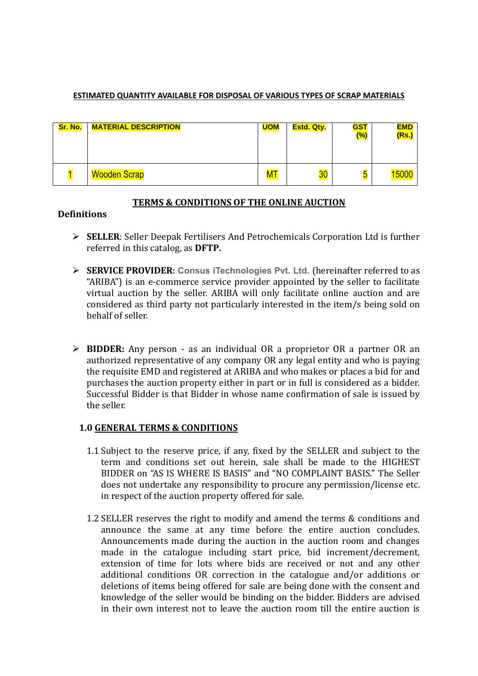#### **ESTIMATED QUANTITY AVAILABLE FOR DISPOSAL OF VARIOUS TYPES OF SCRAP MATERIALS**

| Sr. No. | <b>MATERIAL DESCRIPTION</b> | <b>UOM</b> | <b>Estd. Qty.</b> | <b>GST</b><br>$(\%)$ | <b>EMD</b><br>(Rs.) |
|---------|-----------------------------|------------|-------------------|----------------------|---------------------|
|         | <b>Wooden Scrap</b>         | ${\sf MT}$ | 30 <sub>2</sub>   | ັບ                   |                     |

## **TERMS & CONDITIONS OF THE ONLINE AUCTION**

### **Definitions**

- **SELLER**: Seller Deepak Fertilisers And Petrochemicals Corporation Ltd is further referred in this catalog, as **DFTP.**
- **SERVICE PROVIDER**: **Consus iTechnologies Pvt. Ltd.** (hereinafter referred to as "ARIBA") is an e-commerce service provider appointed by the seller to facilitate virtual auction by the seller. ARIBA will only facilitate online auction and are considered as third party not particularly interested in the item/s being sold on behalf of seller.
- **BIDDER:** Any person as an individual OR a proprietor OR a partner OR an authorized representative of any company OR any legal entity and who is paying the requisite EMD and registered at ARIBA and who makes or places a bid for and purchases the auction property either in part or in full is considered as a bidder. Successful Bidder is that Bidder in whose name confirmation of sale is issued by the seller.

### **1.0 GENERAL TERMS & CONDITIONS**

- 1.1 Subject to the reserve price, if any, fixed by the SELLER and subject to the term and conditions set out herein, sale shall be made to the HIGHEST BIDDER on "AS IS WHERE IS BASIS" and "NO COMPLAINT BASIS." The Seller does not undertake any responsibility to procure any permission/license etc. in respect of the auction property offered for sale.
- 1.2 SELLER reserves the right to modify and amend the terms & conditions and announce the same at any time before the entire auction concludes. Announcements made during the auction in the auction room and changes made in the catalogue including start price, bid increment/decrement, extension of time for lots where bids are received or not and any other additional conditions OR correction in the catalogue and/or additions or deletions of items being offered for sale are being done with the consent and knowledge of the seller would be binding on the bidder. Bidders are advised in their own interest not to leave the auction room till the entire auction is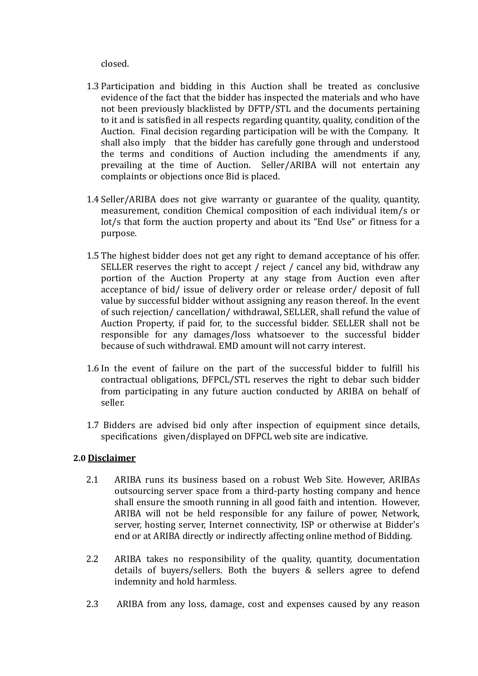closed.

- 1.3 Participation and bidding in this Auction shall be treated as conclusive evidence of the fact that the bidder has inspected the materials and who have not been previously blacklisted by DFTP/STL and the documents pertaining to it and is satisfied in all respects regarding quantity, quality, condition of the Auction. Final decision regarding participation will be with the Company. It shall also imply that the bidder has carefully gone through and understood the terms and conditions of Auction including the amendments if any, prevailing at the time of Auction. Seller/ARIBA will not entertain any complaints or objections once Bid is placed.
- 1.4 Seller/ARIBA does not give warranty or guarantee of the quality, quantity, measurement, condition Chemical composition of each individual item/s or lot/s that form the auction property and about its "End Use" or fitness for a purpose.
- 1.5 The highest bidder does not get any right to demand acceptance of his offer. SELLER reserves the right to accept / reject / cancel any bid, withdraw any portion of the Auction Property at any stage from Auction even after acceptance of bid/ issue of delivery order or release order/ deposit of full value by successful bidder without assigning any reason thereof. In the event of such rejection/ cancellation/ withdrawal, SELLER, shall refund the value of Auction Property, if paid for, to the successful bidder. SELLER shall not be responsible for any damages/loss whatsoever to the successful bidder because of such withdrawal. EMD amount will not carry interest.
- 1.6 In the event of failure on the part of the successful bidder to fulfill his contractual obligations, DFPCL/STL reserves the right to debar such bidder from participating in any future auction conducted by ARIBA on behalf of seller.
- 1.7 Bidders are advised bid only after inspection of equipment since details, specifications given/displayed on DFPCL web site are indicative.

### **2.0 Disclaimer**

- 2.1 ARIBA runs its business based on a robust Web Site. However, ARIBAs outsourcing server space from a third-party hosting company and hence shall ensure the smooth running in all good faith and intention. However, ARIBA will not be held responsible for any failure of power, Network, server, hosting server, Internet connectivity, ISP or otherwise at Bidder's end or at ARIBA directly or indirectly affecting online method of Bidding.
- 2.2 ARIBA takes no responsibility of the quality, quantity, documentation details of buyers/sellers. Both the buyers & sellers agree to defend indemnity and hold harmless.
- 2.3 ARIBA from any loss, damage, cost and expenses caused by any reason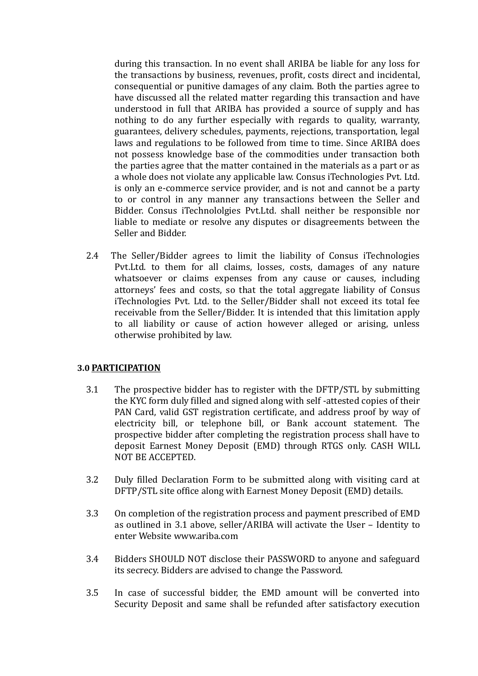during this transaction. In no event shall ARIBA be liable for any loss for the transactions by business, revenues, profit, costs direct and incidental, consequential or punitive damages of any claim. Both the parties agree to have discussed all the related matter regarding this transaction and have understood in full that ARIBA has provided a source of supply and has nothing to do any further especially with regards to quality, warranty, guarantees, delivery schedules, payments, rejections, transportation, legal laws and regulations to be followed from time to time. Since ARIBA does not possess knowledge base of the commodities under transaction both the parties agree that the matter contained in the materials as a part or as a whole does not violate any applicable law. Consus iTechnologies Pvt. Ltd. is only an e-commerce service provider, and is not and cannot be a party to or control in any manner any transactions between the Seller and Bidder. Consus iTechnololgies Pvt.Ltd. shall neither be responsible nor liable to mediate or resolve any disputes or disagreements between the Seller and Bidder.

2.4 The Seller/Bidder agrees to limit the liability of Consus iTechnologies Pvt.Ltd. to them for all claims, losses, costs, damages of any nature whatsoever or claims expenses from any cause or causes, including attorneys' fees and costs, so that the total aggregate liability of Consus iTechnologies Pvt. Ltd. to the Seller/Bidder shall not exceed its total fee receivable from the Seller/Bidder. It is intended that this limitation apply to all liability or cause of action however alleged or arising, unless otherwise prohibited by law.

### **3.0 PARTICIPATION**

- 3.1 The prospective bidder has to register with the DFTP/STL by submitting the KYC form duly filled and signed along with self -attested copies of their PAN Card, valid GST registration certificate, and address proof by way of electricity bill, or telephone bill, or Bank account statement. The prospective bidder after completing the registration process shall have to deposit Earnest Money Deposit (EMD) through RTGS only. CASH WILL NOT BE ACCEPTED.
- 3.2 Duly filled Declaration Form to be submitted along with visiting card at DFTP/STL site office along with Earnest Money Deposit (EMD) details.
- 3.3 On completion of the registration process and payment prescribed of EMD as outlined in 3.1 above, seller/ARIBA will activate the User – Identity to enter Website www.ariba.com
- 3.4 Bidders SHOULD NOT disclose their PASSWORD to anyone and safeguard its secrecy. Bidders are advised to change the Password.
- 3.5 In case of successful bidder, the EMD amount will be converted into Security Deposit and same shall be refunded after satisfactory execution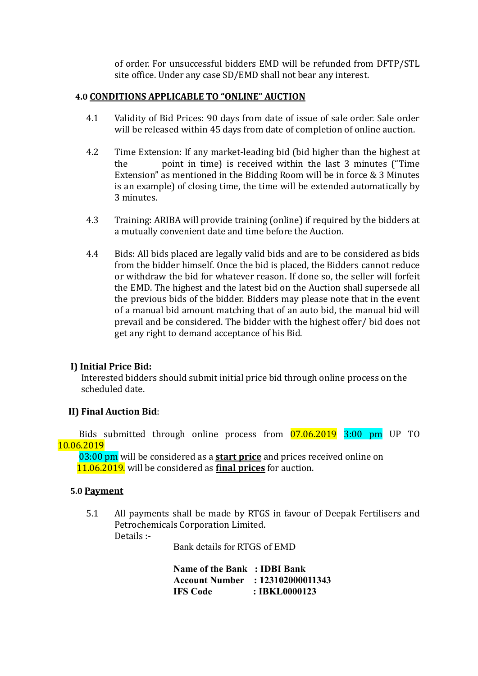of order. For unsuccessful bidders EMD will be refunded from DFTP/STL site office. Under any case SD/EMD shall not bear any interest.

### **4.0 CONDITIONS APPLICABLE TO "ONLINE" AUCTION**

- 4.1 Validity of Bid Prices: 90 days from date of issue of sale order. Sale order will be released within 45 days from date of completion of online auction.
- 4.2 Time Extension: If any market-leading bid (bid higher than the highest at the point in time) is received within the last 3 minutes ("Time Extension" as mentioned in the Bidding Room will be in force & 3 Minutes is an example) of closing time, the time will be extended automatically by 3 minutes.
- 4.3 Training: ARIBA will provide training (online) if required by the bidders at a mutually convenient date and time before the Auction.
- 4.4 Bids: All bids placed are legally valid bids and are to be considered as bids from the bidder himself. Once the bid is placed, the Bidders cannot reduce or withdraw the bid for whatever reason. If done so, the seller will forfeit the EMD. The highest and the latest bid on the Auction shall supersede all the previous bids of the bidder. Bidders may please note that in the event of a manual bid amount matching that of an auto bid, the manual bid will prevail and be considered. The bidder with the highest offer/ bid does not get any right to demand acceptance of his Bid.

### **I) Initial Price Bid:**

Interested bidders should submit initial price bid through online process on the scheduled date.

### **II) Final Auction Bid**:

 Bids submitted through online process from 07.06.2019 3:00 pm UP TO 10.06.2019

 03:00 pm will be considered as a **start price** and prices received online on 11.06.2019. will be considered as **final prices** for auction.

#### **5.0 Payment**

5.1 All payments shall be made by RTGS in favour of Deepak Fertilisers and Petrochemicals Corporation Limited. Details :-

Bank details for RTGS of EMD

**Name of the Bank : IDBI Bank Account Number : 123102000011343 IFS Code : IBKL0000123**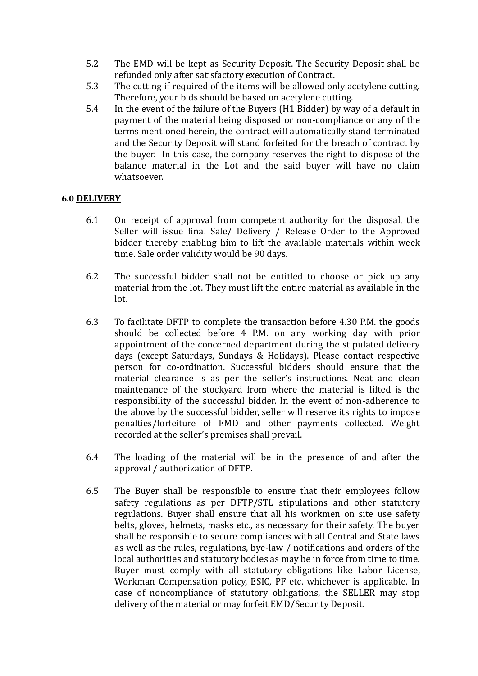- 5.2 The EMD will be kept as Security Deposit. The Security Deposit shall be refunded only after satisfactory execution of Contract.
- 5.3 The cutting if required of the items will be allowed only acetylene cutting. Therefore, your bids should be based on acetylene cutting.
- 5.4 In the event of the failure of the Buyers (H1 Bidder) by way of a default in payment of the material being disposed or non-compliance or any of the terms mentioned herein, the contract will automatically stand terminated and the Security Deposit will stand forfeited for the breach of contract by the buyer. In this case, the company reserves the right to dispose of the balance material in the Lot and the said buyer will have no claim whatsoever.

#### **6.0 DELIVERY**

- 6.1 On receipt of approval from competent authority for the disposal, the Seller will issue final Sale/ Delivery / Release Order to the Approved bidder thereby enabling him to lift the available materials within week time. Sale order validity would be 90 days.
- 6.2 The successful bidder shall not be entitled to choose or pick up any material from the lot. They must lift the entire material as available in the lot.
- 6.3 To facilitate DFTP to complete the transaction before 4.30 P.M. the goods should be collected before 4 P.M. on any working day with prior appointment of the concerned department during the stipulated delivery days (except Saturdays, Sundays & Holidays). Please contact respective person for co-ordination. Successful bidders should ensure that the material clearance is as per the seller's instructions. Neat and clean maintenance of the stockyard from where the material is lifted is the responsibility of the successful bidder. In the event of non-adherence to the above by the successful bidder, seller will reserve its rights to impose penalties/forfeiture of EMD and other payments collected. Weight recorded at the seller's premises shall prevail.
- 6.4 The loading of the material will be in the presence of and after the approval / authorization of DFTP.
- 6.5 The Buyer shall be responsible to ensure that their employees follow safety regulations as per DFTP/STL stipulations and other statutory regulations. Buyer shall ensure that all his workmen on site use safety belts, gloves, helmets, masks etc., as necessary for their safety. The buyer shall be responsible to secure compliances with all Central and State laws as well as the rules, regulations, bye-law / notifications and orders of the local authorities and statutory bodies as may be in force from time to time. Buyer must comply with all statutory obligations like Labor License, Workman Compensation policy, ESIC, PF etc. whichever is applicable. In case of noncompliance of statutory obligations, the SELLER may stop delivery of the material or may forfeit EMD/Security Deposit.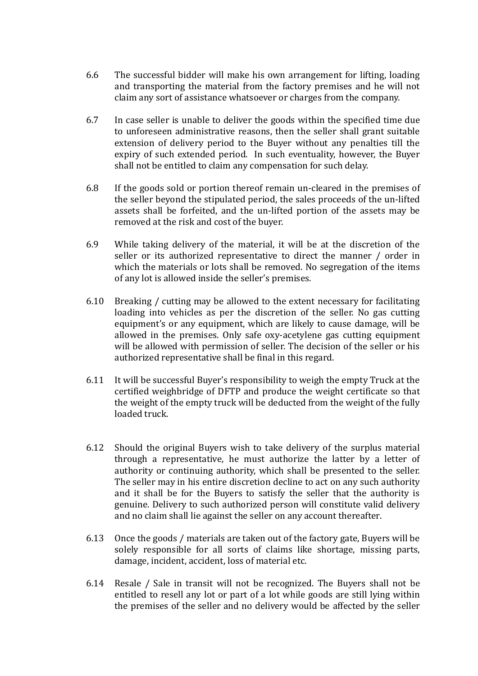- 6.6 The successful bidder will make his own arrangement for lifting, loading and transporting the material from the factory premises and he will not claim any sort of assistance whatsoever or charges from the company.
- 6.7 In case seller is unable to deliver the goods within the specified time due to unforeseen administrative reasons, then the seller shall grant suitable extension of delivery period to the Buyer without any penalties till the expiry of such extended period. In such eventuality, however, the Buyer shall not be entitled to claim any compensation for such delay.
- 6.8 If the goods sold or portion thereof remain un-cleared in the premises of the seller beyond the stipulated period, the sales proceeds of the un-lifted assets shall be forfeited, and the un-lifted portion of the assets may be removed at the risk and cost of the buyer.
- 6.9 While taking delivery of the material, it will be at the discretion of the seller or its authorized representative to direct the manner / order in which the materials or lots shall be removed. No segregation of the items of any lot is allowed inside the seller's premises.
- 6.10 Breaking / cutting may be allowed to the extent necessary for facilitating loading into vehicles as per the discretion of the seller. No gas cutting equipment's or any equipment, which are likely to cause damage, will be allowed in the premises. Only safe oxy-acetylene gas cutting equipment will be allowed with permission of seller. The decision of the seller or his authorized representative shall be final in this regard.
- 6.11 It will be successful Buyer's responsibility to weigh the empty Truck at the certified weighbridge of DFTP and produce the weight certificate so that the weight of the empty truck will be deducted from the weight of the fully loaded truck.
- 6.12 Should the original Buyers wish to take delivery of the surplus material through a representative, he must authorize the latter by a letter of authority or continuing authority, which shall be presented to the seller. The seller may in his entire discretion decline to act on any such authority and it shall be for the Buyers to satisfy the seller that the authority is genuine. Delivery to such authorized person will constitute valid delivery and no claim shall lie against the seller on any account thereafter.
- 6.13 Once the goods / materials are taken out of the factory gate, Buyers will be solely responsible for all sorts of claims like shortage, missing parts, damage, incident, accident, loss of material etc.
- 6.14 Resale / Sale in transit will not be recognized. The Buyers shall not be entitled to resell any lot or part of a lot while goods are still lying within the premises of the seller and no delivery would be affected by the seller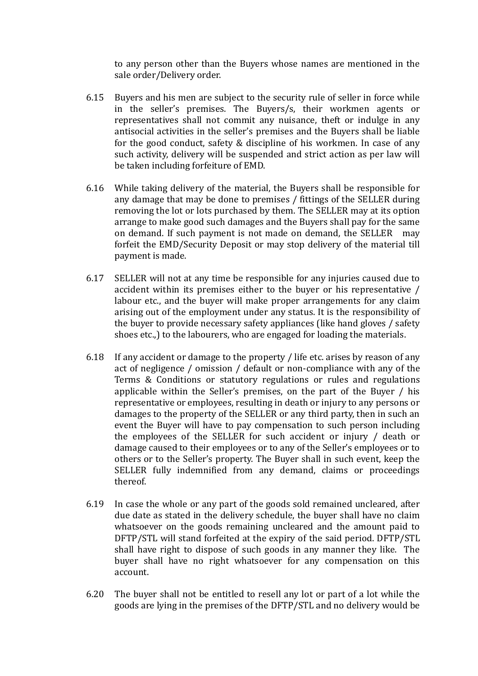to any person other than the Buyers whose names are mentioned in the sale order/Delivery order.

- 6.15 Buyers and his men are subject to the security rule of seller in force while in the seller's premises. The Buyers/s, their workmen agents or representatives shall not commit any nuisance, theft or indulge in any antisocial activities in the seller's premises and the Buyers shall be liable for the good conduct, safety & discipline of his workmen. In case of any such activity, delivery will be suspended and strict action as per law will be taken including forfeiture of EMD.
- 6.16 While taking delivery of the material, the Buyers shall be responsible for any damage that may be done to premises / fittings of the SELLER during removing the lot or lots purchased by them. The SELLER may at its option arrange to make good such damages and the Buyers shall pay for the same on demand. If such payment is not made on demand, the SELLER may forfeit the EMD/Security Deposit or may stop delivery of the material till payment is made.
- 6.17 SELLER will not at any time be responsible for any injuries caused due to accident within its premises either to the buyer or his representative / labour etc., and the buyer will make proper arrangements for any claim arising out of the employment under any status. It is the responsibility of the buyer to provide necessary safety appliances (like hand gloves / safety shoes etc.,) to the labourers, who are engaged for loading the materials.
- 6.18 If any accident or damage to the property / life etc. arises by reason of any act of negligence / omission / default or non-compliance with any of the Terms & Conditions or statutory regulations or rules and regulations applicable within the Seller's premises, on the part of the Buyer / his representative or employees, resulting in death or injury to any persons or damages to the property of the SELLER or any third party, then in such an event the Buyer will have to pay compensation to such person including the employees of the SELLER for such accident or injury / death or damage caused to their employees or to any of the Seller's employees or to others or to the Seller's property. The Buyer shall in such event, keep the SELLER fully indemnified from any demand, claims or proceedings thereof.
- 6.19 In case the whole or any part of the goods sold remained uncleared, after due date as stated in the delivery schedule, the buyer shall have no claim whatsoever on the goods remaining uncleared and the amount paid to DFTP/STL will stand forfeited at the expiry of the said period. DFTP/STL shall have right to dispose of such goods in any manner they like. The buyer shall have no right whatsoever for any compensation on this account.
- 6.20 The buyer shall not be entitled to resell any lot or part of a lot while the goods are lying in the premises of the DFTP/STL and no delivery would be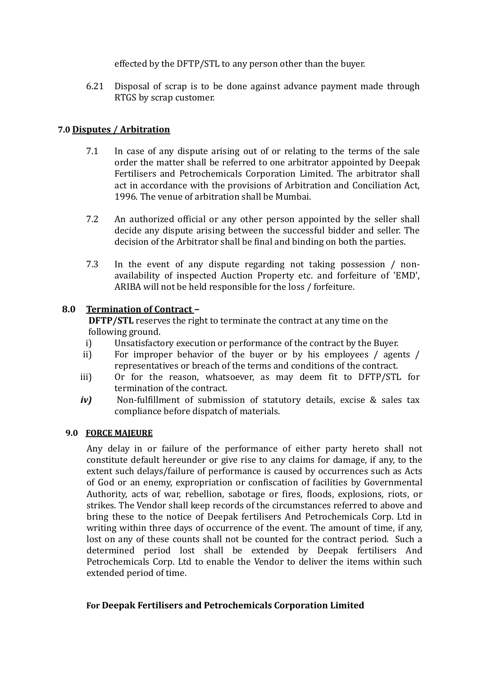effected by the DFTP/STL to any person other than the buyer.

6.21 Disposal of scrap is to be done against advance payment made through RTGS by scrap customer.

## **7.0 Disputes / Arbitration**

- 7.1 In case of any dispute arising out of or relating to the terms of the sale order the matter shall be referred to one arbitrator appointed by Deepak Fertilisers and Petrochemicals Corporation Limited. The arbitrator shall act in accordance with the provisions of Arbitration and Conciliation Act, 1996. The venue of arbitration shall be Mumbai.
- 7.2 An authorized official or any other person appointed by the seller shall decide any dispute arising between the successful bidder and seller. The decision of the Arbitrator shall be final and binding on both the parties.
- 7.3 In the event of any dispute regarding not taking possession / nonavailability of inspected Auction Property etc. and forfeiture of 'EMD', ARIBA will not be held responsible for the loss / forfeiture.

## **8.0 Termination of Contract –**

**DFTP/STL** reserves the right to terminate the contract at any time on the following ground.

- i) Unsatisfactory execution or performance of the contract by the Buyer.
- ii) For improper behavior of the buyer or by his employees / agents / representatives or breach of the terms and conditions of the contract.
- iii) Or for the reason, whatsoever, as may deem fit to DFTP/STL for termination of the contract.
- *iv)* Non-fulfillment of submission of statutory details, excise & sales tax compliance before dispatch of materials.

### **9.0 FORCE MAJEURE**

Any delay in or failure of the performance of either party hereto shall not constitute default hereunder or give rise to any claims for damage, if any, to the extent such delays/failure of performance is caused by occurrences such as Acts of God or an enemy, expropriation or confiscation of facilities by Governmental Authority, acts of war, rebellion, sabotage or fires, floods, explosions, riots, or strikes. The Vendor shall keep records of the circumstances referred to above and bring these to the notice of Deepak fertilisers And Petrochemicals Corp. Ltd in writing within three days of occurrence of the event. The amount of time, if any, lost on any of these counts shall not be counted for the contract period. Such a determined period lost shall be extended by Deepak fertilisers And Petrochemicals Corp. Ltd to enable the Vendor to deliver the items within such extended period of time.

### **For Deepak Fertilisers and Petrochemicals Corporation Limited**